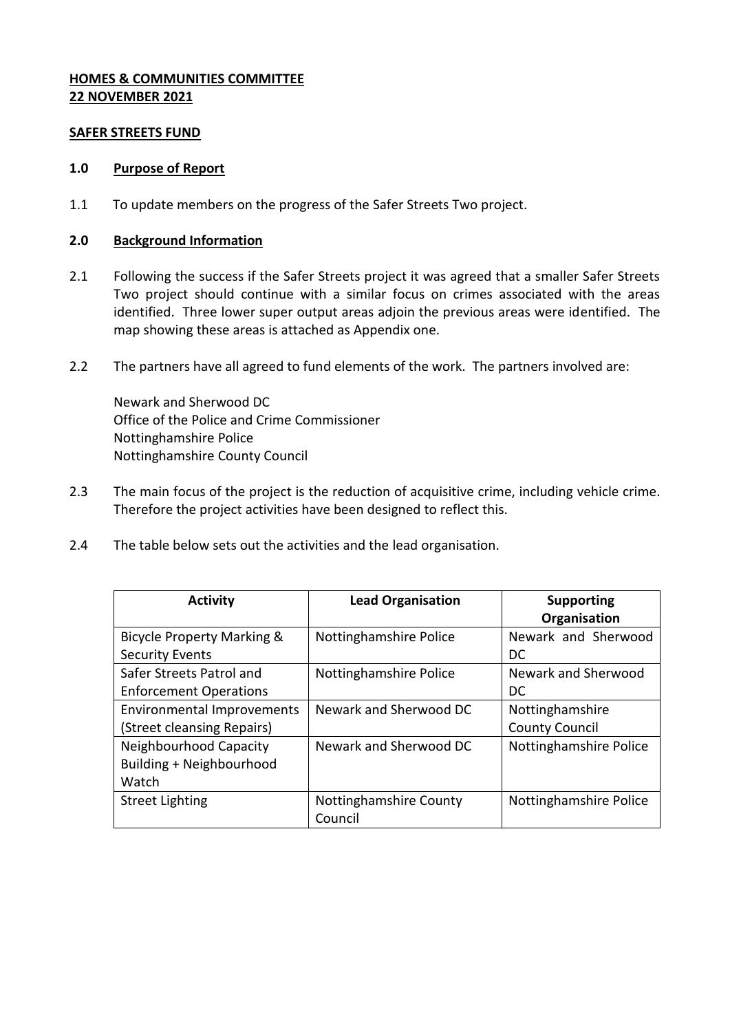## **HOMES & COMMUNITIES COMMITTEE 22 NOVEMBER 2021**

#### **SAFER STREETS FUND**

#### **1.0 Purpose of Report**

1.1 To update members on the progress of the Safer Streets Two project.

#### **2.0 Background Information**

- 2.1 Following the success if the Safer Streets project it was agreed that a smaller Safer Streets Two project should continue with a similar focus on crimes associated with the areas identified. Three lower super output areas adjoin the previous areas were identified. The map showing these areas is attached as Appendix one.
- 2.2 The partners have all agreed to fund elements of the work. The partners involved are:

Newark and Sherwood DC Office of the Police and Crime Commissioner Nottinghamshire Police Nottinghamshire County Council

- 2.3 The main focus of the project is the reduction of acquisitive crime, including vehicle crime. Therefore the project activities have been designed to reflect this.
- 2.4 The table below sets out the activities and the lead organisation.

| <b>Activity</b>                       | <b>Lead Organisation</b>          | <b>Supporting</b><br>Organisation |
|---------------------------------------|-----------------------------------|-----------------------------------|
| <b>Bicycle Property Marking &amp;</b> | Nottinghamshire Police            | Newark and Sherwood               |
| <b>Security Events</b>                |                                   | DC                                |
| Safer Streets Patrol and              | Nottinghamshire Police            | Newark and Sherwood               |
| <b>Enforcement Operations</b>         |                                   | DC                                |
| Environmental Improvements            | Newark and Sherwood DC            | Nottinghamshire                   |
| (Street cleansing Repairs)            |                                   | <b>County Council</b>             |
| Neighbourhood Capacity                | Newark and Sherwood DC            | Nottinghamshire Police            |
| Building + Neighbourhood              |                                   |                                   |
| Watch                                 |                                   |                                   |
| <b>Street Lighting</b>                | Nottinghamshire County<br>Council | Nottinghamshire Police            |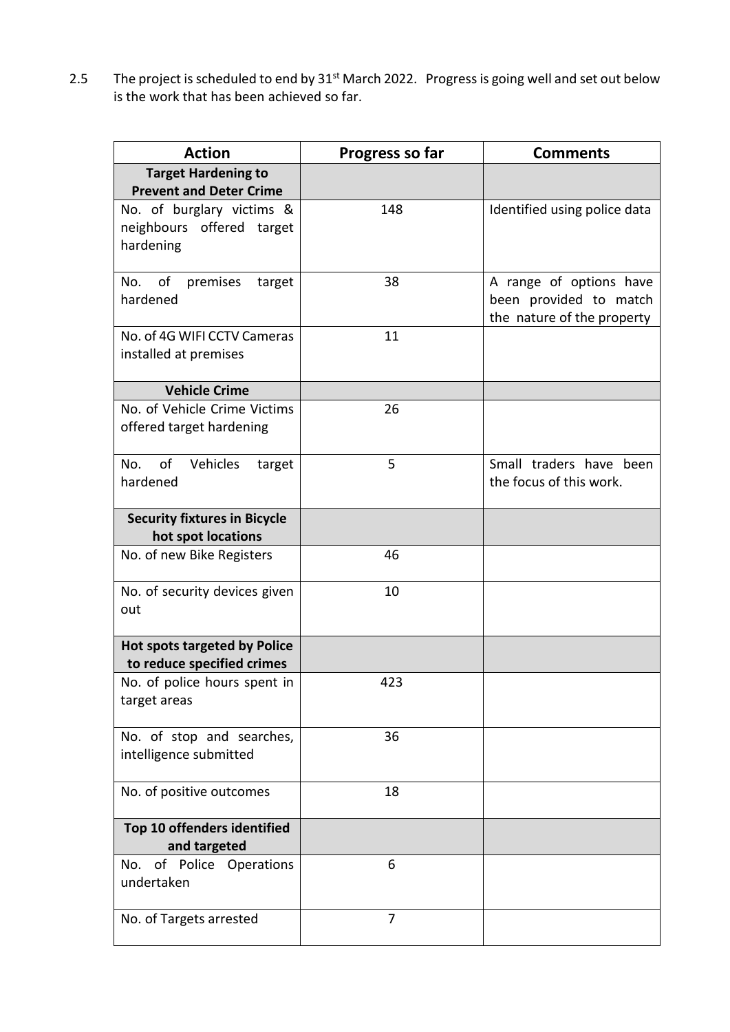2.5 The project is scheduled to end by  $31^{st}$  March 2022. Progress is going well and set out below is the work that has been achieved so far.

| <b>Action</b>                                                       | Progress so far | <b>Comments</b>                                                                 |
|---------------------------------------------------------------------|-----------------|---------------------------------------------------------------------------------|
| <b>Target Hardening to</b><br><b>Prevent and Deter Crime</b>        |                 |                                                                                 |
| No. of burglary victims &<br>neighbours offered target<br>hardening | 148             | Identified using police data                                                    |
| No. of premises<br>target<br>hardened                               | 38              | A range of options have<br>been provided to match<br>the nature of the property |
| No. of 4G WIFI CCTV Cameras<br>installed at premises                | 11              |                                                                                 |
| <b>Vehicle Crime</b>                                                |                 |                                                                                 |
| No. of Vehicle Crime Victims<br>offered target hardening            | 26              |                                                                                 |
| of<br>Vehicles<br>No.<br>target<br>hardened                         | 5               | Small traders have been<br>the focus of this work.                              |
| <b>Security fixtures in Bicycle</b><br>hot spot locations           |                 |                                                                                 |
| No. of new Bike Registers                                           | 46              |                                                                                 |
| No. of security devices given<br>out                                | 10              |                                                                                 |
| <b>Hot spots targeted by Police</b><br>to reduce specified crimes   |                 |                                                                                 |
| No. of police hours spent in<br>target areas                        | 423             |                                                                                 |
| No. of stop and searches,<br>intelligence submitted                 | 36              |                                                                                 |
| No. of positive outcomes                                            | 18              |                                                                                 |
| Top 10 offenders identified                                         |                 |                                                                                 |
| and targeted                                                        |                 |                                                                                 |
| No. of Police Operations<br>undertaken                              | 6               |                                                                                 |
| No. of Targets arrested                                             | 7               |                                                                                 |